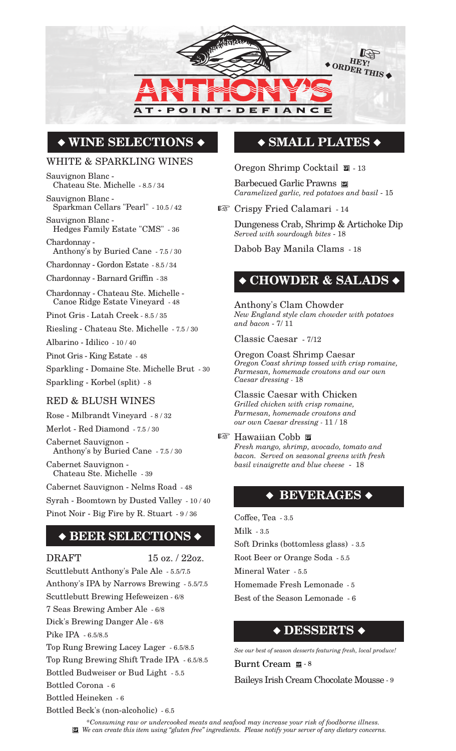

# **WINE SELECTIONS**

### WHITE & SPARKLING WINES

Sauvignon Blanc - Chateau Ste. Michelle - 8.5 / 34

Sauvignon Blanc - Sparkman Cellars "Pearl" - 10.5 / 42

Sauvignon Blanc - Hedges Family Estate "CMS" - 36 Chardonnay -

Anthony's by Buried Cane - 7.5 / 30

Chardonnay - Gordon Estate - 8.5 / 34

Chardonnay - Barnard Griffin - 38

Chardonnay - Chateau Ste. Michelle - Canoe Ridge Estate Vineyard - 48

Pinot Gris - Latah Creek - 8.5 / 35

Riesling - Chateau Ste. Michelle - 7.5 / 30

Albarino - Idilico - 10 / 40

Pinot Gris - King Estate - 48

Sparkling - Domaine Ste. Michelle Brut - 30 Sparkling - Korbel (split) - 8

### RED & BLUSH WINES

Rose - Milbrandt Vineyard - 8 / 32 Merlot - Red Diamond - 7.5 / 30 Cabernet Sauvignon - Anthony's by Buried Cane - 7.5 / 30 Cabernet Sauvignon - Chateau Ste. Michelle - 39

Cabernet Sauvignon - Nelms Road - 48

Syrah - Boomtown by Dusted Valley - 10 / 40 Pinot Noir - Big Fire by R. Stuart - 9 / 36

### **BEER SELECTIONS**

DRAFT  $15 \text{ oz.} / 22 \text{ oz.}$ 

Scuttlebutt Anthony's Pale Ale - 5.5/7.5 Anthony's IPA by Narrows Brewing - 5.5/7.5 Scuttlebutt Brewing Hefeweizen - 6/8 7 Seas Brewing Amber Ale - 6/8 Dick's Brewing Danger Ale - 6/8 Pike IPA - 6.5/8.5 Top Rung Brewing Lacey Lager - 6.5/8.5 Top Rung Brewing Shift Trade IPA - 6.5/8.5 Bottled Budweiser or Bud Light - 5.5 Bottled Corona - 6 Bottled Heineken - 6 Bottled Beck's (non-alcoholic) - 6.5

### **SMALL PLATES**

Oregon Shrimp Cocktail  $\blacksquare$  - 13

Barbecued Garlic Prawns *Caramelized garlic, red potatoes and basil* - 15

Crispy Fried Calamari - 14

Dungeness Crab, Shrimp & Artichoke Dip *Served with sourdough bites* - 18

Dabob Bay Manila Clams - 18

# **CHOWDER & SALADS**

Anthony's Clam Chowder *New England style clam chowder with potatoes and bacon* - 7/ 11

Classic Caesar - 7/12

Oregon Coast Shrimp Caesar *Oregon Coast shrimp tossed with crisp romaine, Parmesan, homemade croutons and our own Caesar dressing -* 18

Classic Caesar with Chicken *Grilled chicken with crisp romaine, Parmesan, homemade croutons and our own Caesar dressing -* 11 / 18

### Hawaiian Cobb

*Fresh mango, shrimp, avocado, tomato and bacon. Served on seasonal greens with fresh basil vinaigrette and blue cheese* - 18

### ◆ BEVERAGES ◆

Coffee, Tea - 3.5 Milk - 3.5 Soft Drinks (bottomless glass) - 3.5 Root Beer or Orange Soda - 5.5 Mineral Water - 5.5 Homemade Fresh Lemonade - 5 Best of the Season Lemonade - 6

# **DESSERTS**

*See our best of season desserts featuring fresh, local produce!*

Burnt Cream  $\overline{5}$  - 8

Baileys Irish Cream Chocolate Mousse - 9

*\*Consuming raw or undercooked meats and seafood may increase your risk of foodborne illness. We can create this item using "gluten free" ingredients. Please notify your server of any dietary concerns.*